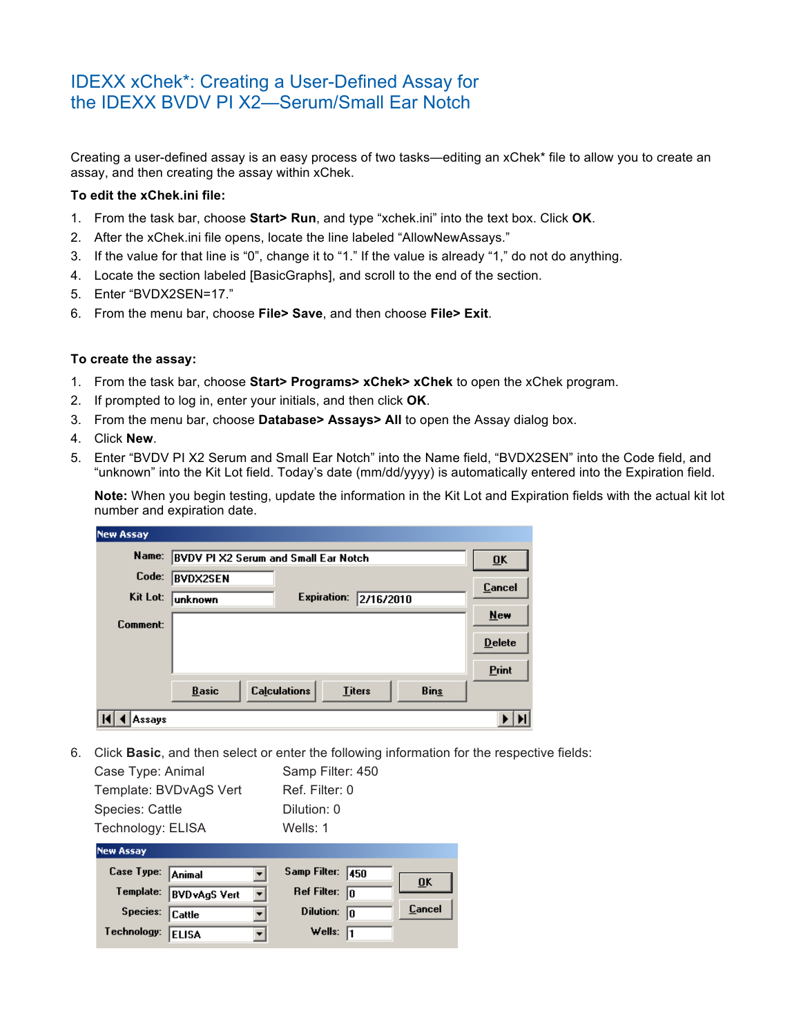## IDEXX xChek\*: Creating a User-Defined Assay for the IDEXX BVDV PI X2—Serum/Small Ear Notch

Creating a user-defined assay is an easy process of two tasks—editing an xChek\* file to allow you to create an assay, and then creating the assay within xChek.

## **To edit the xChek.ini file:**

- 1. From the task bar, choose **Start> Run**, and type "xchek.ini" into the text box. Click **OK**.
- 2. After the xChek.ini file opens, locate the line labeled "AllowNewAssays."
- 3. If the value for that line is "0", change it to "1." If the value is already "1," do not do anything.
- 4. Locate the section labeled [BasicGraphs], and scroll to the end of the section.
- 5. Enter "BVDX2SEN=17."
- 6. From the menu bar, choose **File> Save**, and then choose **File> Exit**.

## **To create the assay:**

- 1. From the task bar, choose **Start> Programs> xChek> xChek** to open the xChek program.
- 2. If prompted to log in, enter your initials, and then click **OK**.
- 3. From the menu bar, choose **Database> Assays> All** to open the Assay dialog box.
- 4. Click **New**.
- 5. Enter "BVDV PI X2 Serum and Small Ear Notch" into the Name field, "BVDX2SEN" into the Code field, and "unknown" into the Kit Lot field. Today's date (mm/dd/yyyy) is automatically entered into the Expiration field.

**Note:** When you begin testing, update the information in the Kit Lot and Expiration fields with the actual kit lot number and expiration date.

| <b>New Assay</b> |                                                                     |                           |
|------------------|---------------------------------------------------------------------|---------------------------|
| Name:            | <b>BVDV PI X2 Serum and Small Ear Notch</b>                         | $\overline{\mathbf{0}}$ K |
| Code:            | <b>BVDX2SEN</b>                                                     | <b>Cancel</b>             |
| Kit Lot:         | <b>Expiration:</b><br>2/16/2010<br>unknown                          |                           |
| Comment:         |                                                                     | $New$                     |
|                  |                                                                     | <b>Delete</b>             |
|                  |                                                                     | <b>Print</b>              |
|                  | <b>Calculations</b><br><b>Basic</b><br><b>Bins</b><br><b>Titers</b> |                           |
| Assays           |                                                                     |                           |

6. Click **Basic**, and then select or enter the following information for the respective fields:

| Case Type:<br>Animal   | Samp Filter:<br>450 |
|------------------------|---------------------|
| <b>New Assay</b>       |                     |
| Technology: ELISA      | Wells: 1            |
| Species: Cattle        | Dilution: 0         |
| Template: BVDvAgS Vert | Ref. Filter: 0      |
| Case Type: Animal      | Samp Filter: 450    |

| Case Type: Animal |                        |   | Samp Filter:  450    |                           |
|-------------------|------------------------|---|----------------------|---------------------------|
|                   |                        |   |                      | $\overline{\mathbf{0}}$ K |
|                   | Template: BVDvAgS Vert | ▾ | Ref Filter: $\ln$    |                           |
|                   |                        |   |                      |                           |
| Species: Cattle   |                        |   | Dilution: $\sqrt{n}$ | Cancel                    |
|                   |                        |   |                      |                           |
| Technology: ELISA |                        |   | Wells: $\sqrt{1}$    |                           |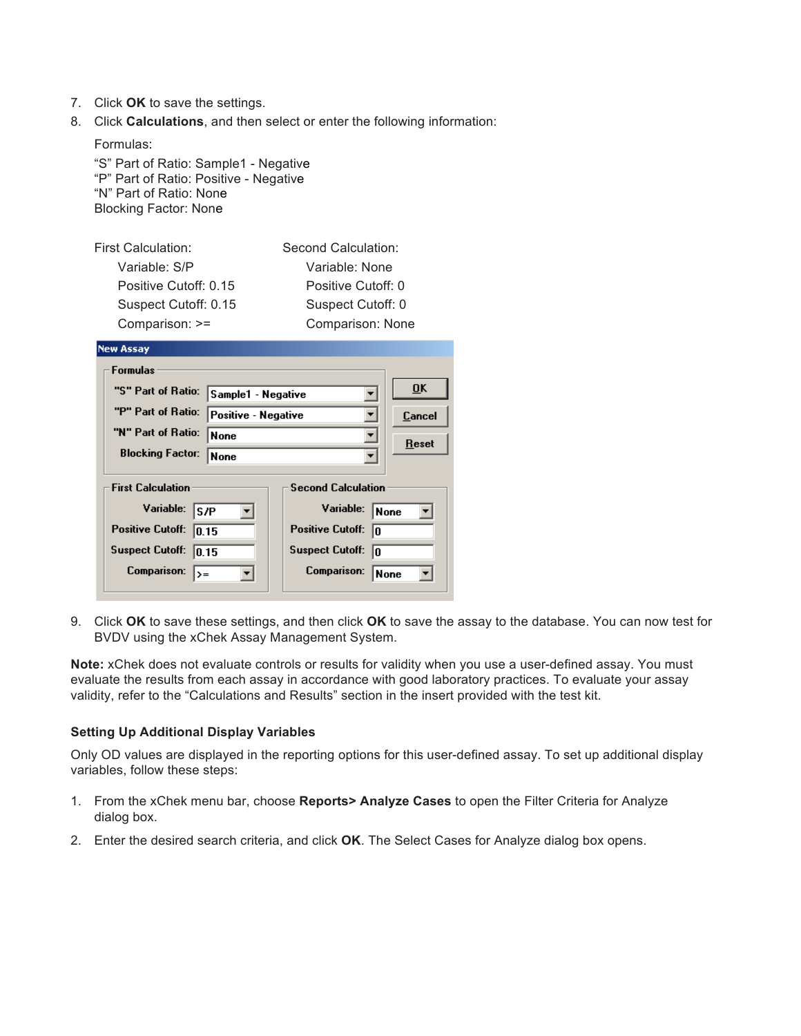- 7. Click **OK** to save the settings.
- 8. Click **Calculations**, and then select or enter the following information:

Formulas: "S" Part of Ratio: Sample1 - Negative "P" Part of Ratio: Positive - Negative "N" Part of Ratio: None Blocking Factor: None

| First Calculation:    | Second Calculation: |
|-----------------------|---------------------|
| Variable: S/P         | Variable: None      |
| Positive Cutoff: 0.15 | Positive Cutoff: 0  |
| Suspect Cutoff: 0.15  | Suspect Cutoff: 0   |
| Comparison: >=        | Comparison: None    |

| <b>New Assay</b>                 |                     |                               |                           |
|----------------------------------|---------------------|-------------------------------|---------------------------|
| <b>Formulas</b>                  |                     |                               |                           |
| "S" Part of Ratio:               | Sample1 - Negative  |                               | $\overline{\mathbf{0}}$ K |
| "P" Part of Ratio:               | Positive - Negative |                               | Cancel                    |
| "N" Part of Ratio:               | <b>None</b>         |                               | Reset                     |
| <b>Blocking Factor:</b>          | None                |                               |                           |
| <b>First Calculation</b>         |                     | <b>Second Calculation</b>     |                           |
| Variable:<br>S/P                 |                     | Variable:                     | <b>None</b>               |
| <b>Positive Cutoff:</b><br>10.15 |                     | <b>Positive Cutoff:</b><br>In |                           |
| <b>Suspect Cutoff:</b><br>10.15  |                     | <b>Suspect Cutoff:</b><br>lo  |                           |
| Comparison:<br>$\rangle =$       |                     | Comparison:                   | None                      |

9. Click **OK** to save these settings, and then click **OK** to save the assay to the database. You can now test for BVDV using the xChek Assay Management System.

**Note:** xChek does not evaluate controls or results for validity when you use a user-defined assay. You must evaluate the results from each assay in accordance with good laboratory practices. To evaluate your assay validity, refer to the "Calculations and Results" section in the insert provided with the test kit.

## **Setting Up Additional Display Variables**

Only OD values are displayed in the reporting options for this user-defined assay. To set up additional display variables, follow these steps:

- 1. From the xChek menu bar, choose **Reports> Analyze Cases** to open the Filter Criteria for Analyze dialog box.
- 2. Enter the desired search criteria, and click **OK**. The Select Cases for Analyze dialog box opens.